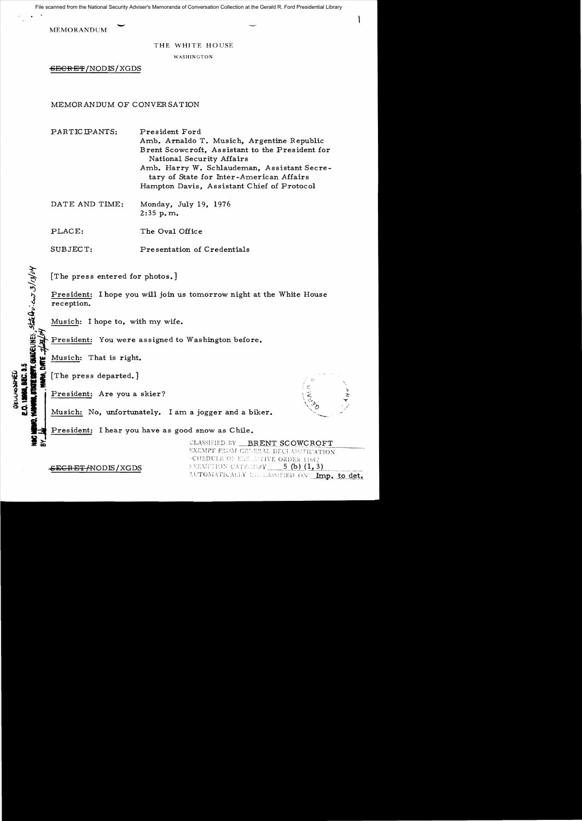File scanned from the National Security Adviser's Memoranda of Conversation Collection at the Gerald R. Ford Presidential Library

**MEMORANDUM** 

## THE WHITE HOUSE

WASHINGTON

 $EEREF/NODIS/XGDS$ 

MEMORANDUM OF CONVERSATION

PARTICIPANTS: President Ford Amb. Arnaldo T. Musich, Argentine Republic Brent Scowcroft, Assistant to the President for National Security Affairs Amb. Harry W. Schlaudeman, Assistant Secretary of State for Inter-American Affairs Hampton Davis, Assistant Chief of Protocol

DATE AND TIME: Monday, July 19, 1976 2:35 p. m..

PLACE: The Oval Office

SUBJECT: Pre sentation of Credentials

[The press entered for photos.]

President: I hope you will join us tomorrow night at the White House reception.

Musich: I hope to, with my wife.

# }<br>#/ M<br># }<br>H<br>H<br>H President: You were assigned to Washington before.

I; Musich: That is right.

 $\dot{a}$ 

 $-1.4$ **QECCHOONFIEL**<br>**E.O. 19958. SEC.** 

사<sup>년다</sup><br>882.3.5<br>대대해, 0세대<br>MM, 0세대 [The press departed.]

President: Are you a skier?



Musich: No, unfortunately. I am a jogger and a biker.

**BASE** President: I hear you have as good snow as Chile.

> CLASSIFIED BY BRENT SCOWCROFT EXEMPT FROM CENERAL DECLASSIFICATION SCHEDULE OF EXE JUTIVE ORDER 11652 5 $(b)$  $(1, 3)$ FXEMPTION CATEGORY AUTOMATICALLY ENCLASSIFIED ON Imp. to det.

<del>SECRET/</del>NODIS/XGDS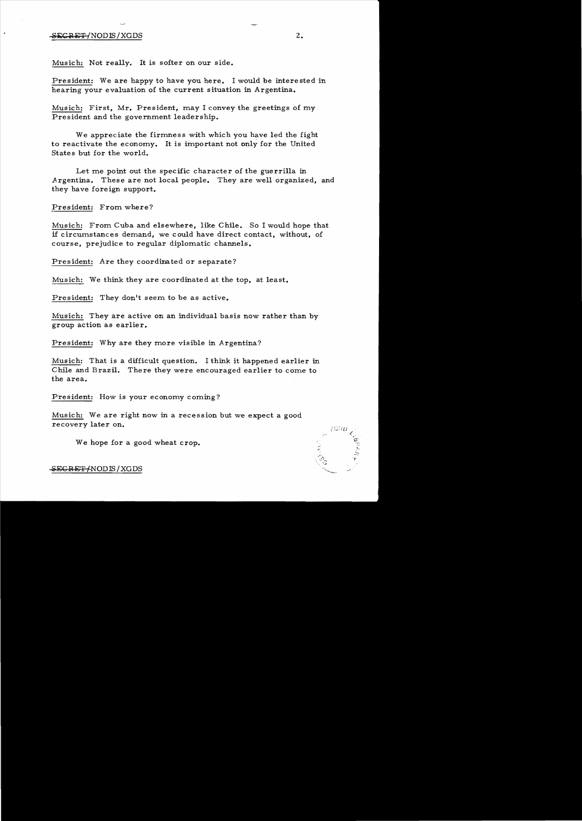## $-$ <del>SECRET/</del>NODIS/XGDS 2.

Musich: Not really. It is softer on our side.

President: We are happy to have you here. I would be interested in hearing your evaluation of the current situation in Argentina.

Musich: First, Mr. President, may I convey the greetings of my President and the government leadership.

We appreciate the firmness with which you have led the fight to reactivate the economy. It is important not only for the United States but for the world.

Let me point out the specific character of the guerrilla in Argentina. These are not local people. They are well organized, and they have foreign support.

President: From where?

Musich: From Cuba and elsewhere, like Chile. So I would hope that if circumstances demand, we could have direct contact, without, of course, prejudice to regular diplomatic channels.

President: Are they coordinated or separate?

Musich: We think they are coordinated at the top, at least.

President: They don't seem to be as active.

Musich: They are active on an individual basis now rather than by group action as earlier.

President: Why are they more visible in Argentina?

Musich: That is a difficult question. I think it happened earlier in Chile and Brazil. There they were encouraged earlier to come to the area.

President: How is your economy coming?

Musich: We are right now in a recession but we expect a good recovery later on.

We hope for a good wheat crop.

.;' .

SEGRET/NODIS/XGDS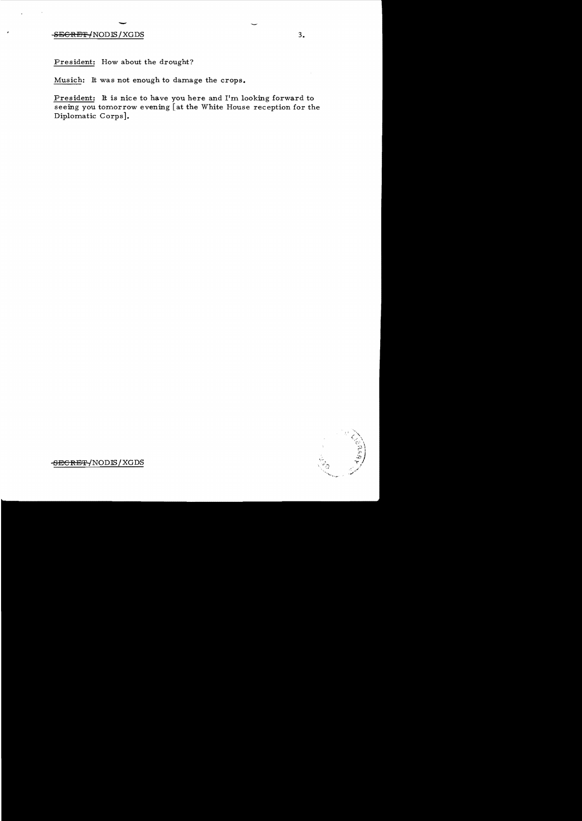## external contracts of the set of the set of the set of the set of the set of the set of the set of the set of the set of the set of the set of the set of the set of the set of the set of the set of the set of the set of th

President: How about the drought?

Musich: It was not enough to damage the crops.

President: It is nice to have you here and I'm looking forward to seeing you tomorrow evening [at the White House reception for the Diplomatic Corps].



SEe**RET** /NODffi / XGDS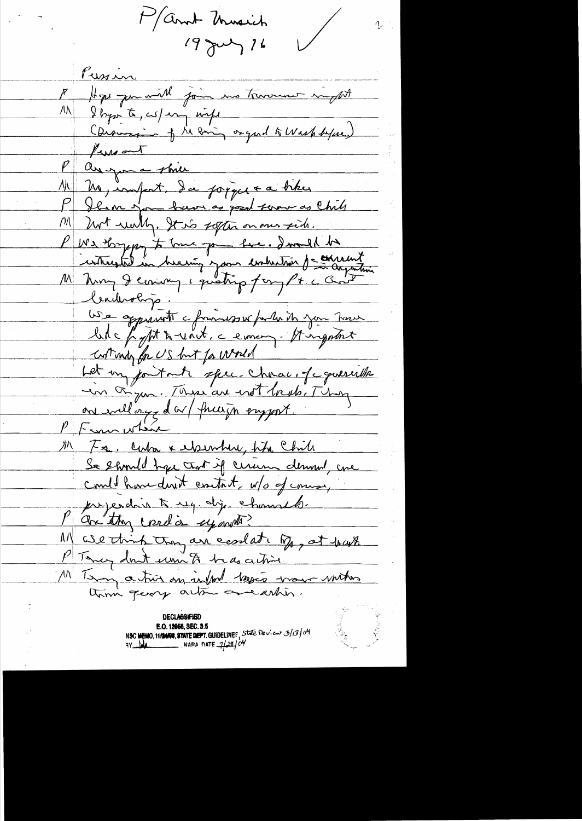March University  $19$  July 16

Kusin A Hope you will join me towards might M & Byzarte, cus/en infl Coronario of the eminy organd to wash before.)  $\frac{\mu_{\text{max}}}{\sigma}$  $\boldsymbol{\mathcal{P}}$ anyon a shier 11 M import. da popper a biker Ilim you have as good farm as Chile but willy, It is soften on our fids.  $\left| \rho / \right|$ P We thought to true you have. I would be interested in hersing your enterstant de consent Ceauvologo. USA appertent chimnessex parlaite jour tour like fight & unit, a eman - It ingethat Let my jout mete spec. Chavar, of concertibile in Figure. These are not bruke Thing on willage da / fragen engent. PF sur which M Fa, cuba x ilsember, hh Chile Se should have that if cerum demond are could have don't contact, w/o of course, prejendint regidij, channels. Maxistry condis uponto? 11) We think they are coolet by, at hast P Tancy don't um to be as active" 11 Tany a très en infront bassés mour unitos

DECT VESIEIED E.O. 12956, SEC. 3.5 NSC MEMO, 11/2400, STATE DEPT. GUIDELINES, STATE DEVIEW 3/13/04<br>9Y MA